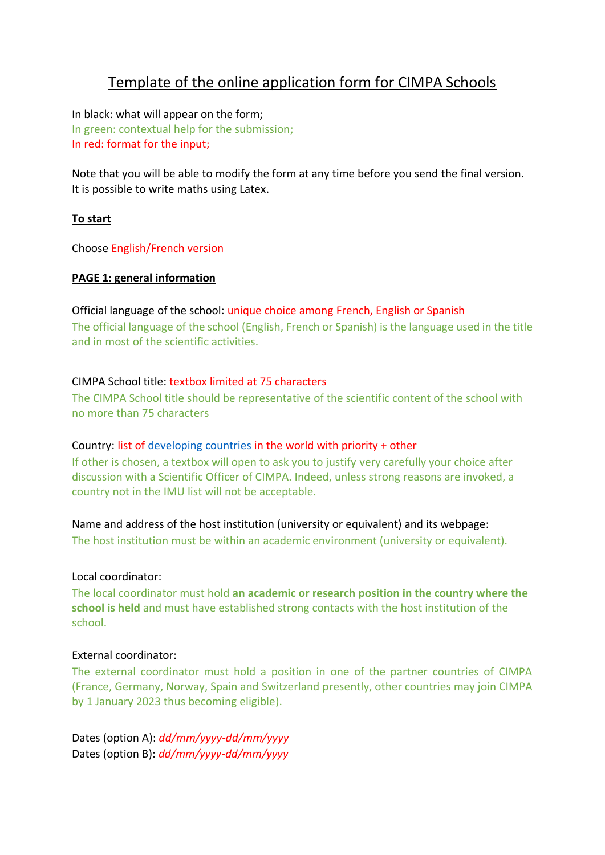# Template of the online application form for CIMPA Schools

In black: what will appear on the form; In green: contextual help for the submission; In red: format for the input;

Note that you will be able to modify the form at any time before you send the final version. It is possible to write maths using Latex.

## **To start**

Choose English/French version

#### **PAGE 1: general information**

#### Official language of the school: unique choice among French, English or Spanish

The official language of the school (English, French or Spanish) is the language used in the title and in most of the scientific activities.

#### CIMPA School title: textbox limited at 75 characters

The CIMPA School title should be representative of the scientific content of the school with no more than 75 characters

#### Country: list of [developing countries](https://www.mathunion.org/cdc/about-cdc/definition-developing-countries) in the world with priority + other

If other is chosen, a textbox will open to ask you to justify very carefully your choice after discussion with a Scientific Officer of CIMPA. Indeed, unless strong reasons are invoked, a country not in the IMU list will not be acceptable.

Name and address of the host institution (university or equivalent) and its webpage:

The host institution must be within an academic environment (university or equivalent).

#### Local coordinator:

The local coordinator must hold **an academic or research position in the country where the school is held** and must have established strong contacts with the host institution of the school.

#### External coordinator:

The external coordinator must hold a position in one of the partner countries of CIMPA (France, Germany, Norway, Spain and Switzerland presently, other countries may join CIMPA by 1 January 2023 thus becoming eligible).

Dates (option A): *dd/mm/yyyy-dd/mm/yyyy*  Dates (option B): *dd/mm/yyyy-dd/mm/yyyy*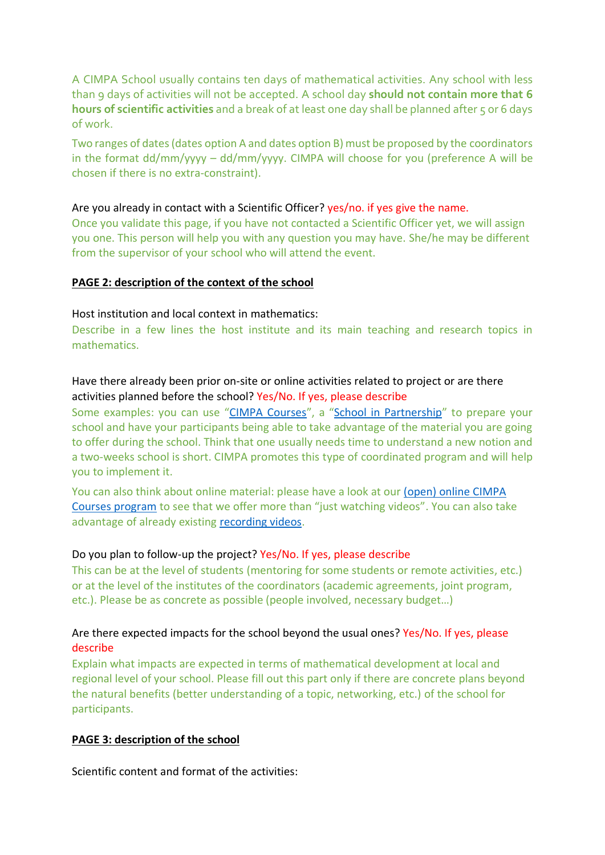A CIMPA School usually contains ten days of mathematical activities. Any school with less than 9 days of activities will not be accepted. A school day **should not contain more that 6**  hours of scientific activities and a break of at least one day shall be planned after 5 or 6 days of work.

Two ranges of dates (dates option A and dates option B) must be proposed by the coordinators in the format dd/mm/yyyy – dd/mm/yyyy. CIMPA will choose for you (preference A will be chosen if there is no extra-constraint).

#### Are you already in contact with a Scientific Officer? yes/no. if yes give the name.

Once you validate this page, if you have not contacted a Scientific Officer yet, we will assign you one. This person will help you with any question you may have. She/he may be different from the supervisor of your school who will attend the event.

#### **PAGE 2: description of the context of the school**

#### Host institution and local context in mathematics:

Describe in a few lines the host institute and its main teaching and research topics in mathematics.

## Have there already been prior on-site or online activities related to project or are there activities planned before the school? Yes/No. If yes, please describe

Some examples: you can use "[CIMPA Courses](https://www.cimpa.info/en/support_for_training_in_research/call_for_applications)", a "[School in Partnership](https://www.cimpa.info/en/node/6380)" to prepare your school and have your participants being able to take advantage of the material you are going to offer during the school. Think that one usually needs time to understand a new notion and a two-weeks school is short. CIMPA promotes this type of coordinated program and will help you to implement it.

You can also think about online material: please have a look at our [\(open\) online CIMPA](https://www.cimpa.info/en/node/6575)  [Courses program](https://www.cimpa.info/en/node/6575) to see that we offer more than "just watching videos". You can also take advantage of already existing [recording videos.](https://www.carmin.tv/fr/instituts/cimpa)

#### Do you plan to follow-up the project? Yes/No. If yes, please describe

This can be at the level of students (mentoring for some students or remote activities, etc.) or at the level of the institutes of the coordinators (academic agreements, joint program, etc.). Please be as concrete as possible (people involved, necessary budget…)

# Are there expected impacts for the school beyond the usual ones? Yes/No. If yes, please describe

Explain what impacts are expected in terms of mathematical development at local and regional level of your school. Please fill out this part only if there are concrete plans beyond the natural benefits (better understanding of a topic, networking, etc.) of the school for participants.

#### **PAGE 3: description of the school**

Scientific content and format of the activities: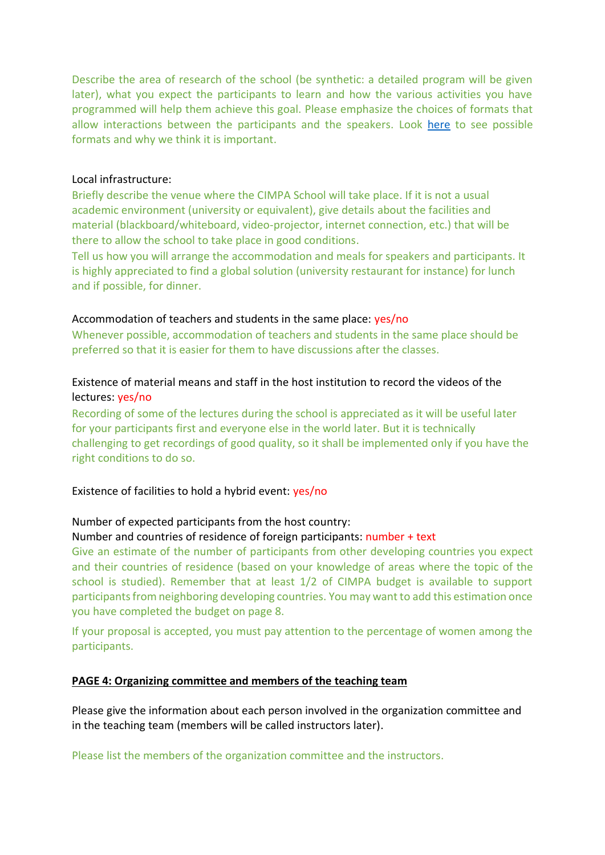Describe the area of research of the school (be synthetic: a detailed program will be given later), what you expect the participants to learn and how the various activities you have programmed will help them achieve this goal. Please emphasize the choices of formats that allow interactions between the participants and the speakers. Look [here](https://www.cimpa.info/en/file/3748) to see possible formats and why we think it is important.

#### Local infrastructure:

Briefly describe the venue where the CIMPA School will take place. If it is not a usual academic environment (university or equivalent), give details about the facilities and material (blackboard/whiteboard, video-projector, internet connection, etc.) that will be there to allow the school to take place in good conditions.

Tell us how you will arrange the accommodation and meals for speakers and participants. It is highly appreciated to find a global solution (university restaurant for instance) for lunch and if possible, for dinner.

#### Accommodation of teachers and students in the same place: yes/no

Whenever possible, accommodation of teachers and students in the same place should be preferred so that it is easier for them to have discussions after the classes.

# Existence of material means and staff in the host institution to record the videos of the lectures: yes/no

Recording of some of the lectures during the school is appreciated as it will be useful later for your participants first and everyone else in the world later. But it is technically challenging to get recordings of good quality, so it shall be implemented only if you have the right conditions to do so.

Existence of facilities to hold a hybrid event: yes/no

#### Number of expected participants from the host country:

#### Number and countries of residence of foreign participants: number + text

Give an estimate of the number of participants from other developing countries you expect and their countries of residence (based on your knowledge of areas where the topic of the school is studied). Remember that at least 1/2 of CIMPA budget is available to support participants from neighboring developing countries. You may want to add this estimation once you have completed the budget on page 8.

If your proposal is accepted, you must pay attention to the percentage of women among the participants.

#### **PAGE 4: Organizing committee and members of the teaching team**

Please give the information about each person involved in the organization committee and in the teaching team (members will be called instructors later).

Please list the members of the organization committee and the instructors.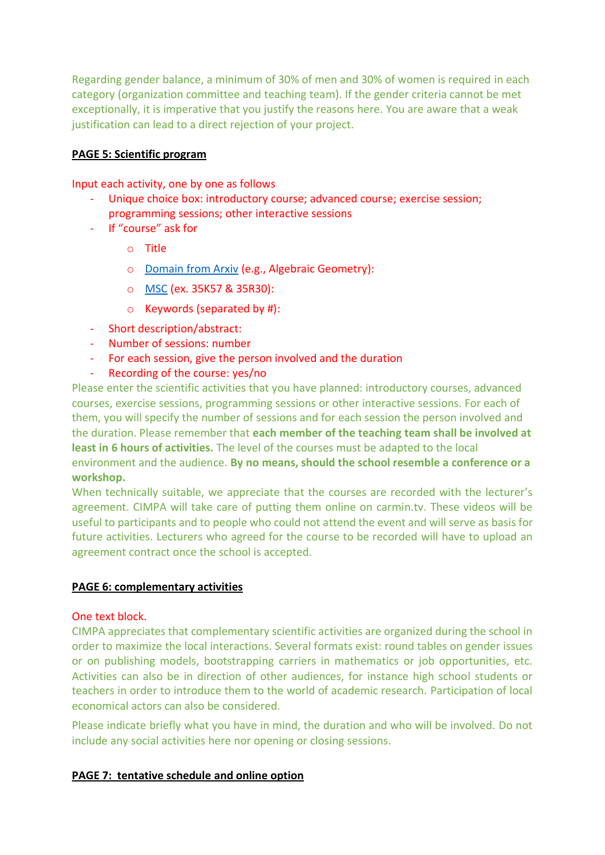Regarding gender balance, a minimum of 30% of men and 30% of women is required in each category (organization committee and teaching team). If the gender criteria cannot be met exceptionally, it is imperative that you justify the reasons here. You are aware that a weak justification can lead to a direct rejection of your project.

#### **PAGE 5: Scientific program**

Input each activity, one by one as follows

- Unique choice box: introductory course; advanced course; exercise session; programming sessions; other interactive sessions
- If "course" ask for
	- o Title
	- o Domain [from Arxiv](https://arxiv.org/archive/math) (e.g., Algebraic Geometry):
	- o [MSC](https://mathscinet.ams.org/msc/msc2010.html) (ex. 35K57 & 35R30):
	- o Keywords (separated by #):
- Short description/abstract:
- Number of sessions: number
- For each session, give the person involved and the duration
- Recording of the course: yes/no

Please enter the scientific activities that you have planned: introductory courses, advanced courses, exercise sessions, programming sessions or other interactive sessions. For each of them, you will specify the number of sessions and for each session the person involved and the duration. Please remember that **each member of the teaching team shall be involved at least in 6 hours of activities.** The level of the courses must be adapted to the local environment and the audience. **By no means, should the school resemble a conference or a workshop.**

When technically suitable, we appreciate that the courses are recorded with the lecturer's agreement. CIMPA will take care of putting them online on [carmin.tv.](https://www.carmin.tv/fr/instituts/cimpa) These videos will be useful to participants and to people who could not attend the event and will serve as basis for future activities. Lecturers who agreed for the course to be recorded will have to upload an agreement contract once the school is accepted.

#### **PAGE 6: complementary activities**

#### One text block.

CIMPA appreciates that complementary scientific activities are organized during the school in order to maximize the local interactions. Several formats exist: round tables on gender issues or on publishing models, bootstrapping carriers in mathematics or job opportunities, etc. Activities can also be in direction of other audiences, for instance high school students or teachers in order to introduce them to the world of academic research. Participation of local economical actors can also be considered.

Please indicate briefly what you have in mind, the duration and who will be involved. Do not include any social activities here nor opening or closing sessions.

#### **PAGE 7: tentative schedule and online option**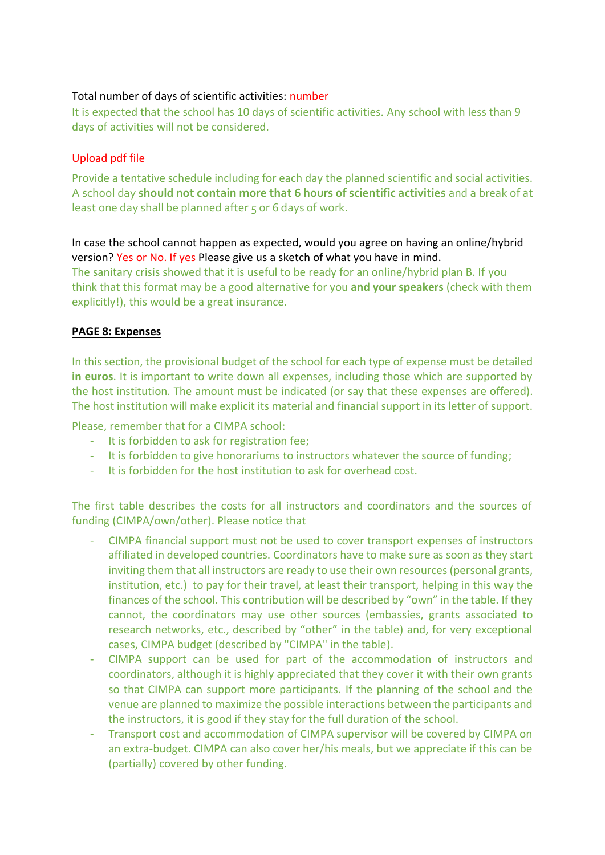# Total number of days of scientific activities: number

It is expected that the school has 10 days of scientific activities. Any school with less than 9 days of activities will not be considered.

# Upload pdf file

Provide a tentative schedule including for each day the planned scientific and social activities. A school day **should not contain more that 6 hours of scientific activities** and a break of at least one day shall be planned after 5 or 6 days of work.

# In case the school cannot happen as expected, would you agree on having an online/hybrid version? Yes or No. If yes Please give us a sketch of what you have in mind.

The sanitary crisis showed that it is useful to be ready for an online/hybrid plan B. If you think that this format may be a good alternative for you **and your speakers** (check with them explicitly!), this would be a great insurance.

# **PAGE 8: Expenses**

In this section, the provisional budget of the school for each type of expense must be detailed **in euros**. It is important to write down all expenses, including those which are supported by the host institution. The amount must be indicated (or say that these expenses are offered). The host institution will make explicit its material and financial support in its letter of support.

Please, remember that for a CIMPA school:

- It is forbidden to ask for registration fee;
- It is forbidden to give honorariums to instructors whatever the source of funding;
- It is forbidden for the host institution to ask for overhead cost.

The first table describes the costs for all instructors and coordinators and the sources of funding (CIMPA/own/other). Please notice that

- CIMPA financial support must not be used to cover transport expenses of instructors affiliated in developed countries. Coordinators have to make sure as soon as they start inviting them that all instructors are ready to use their own resources (personal grants, institution, etc.) to pay for their travel, at least their transport, helping in this way the finances of the school. This contribution will be described by "own" in the table. If they cannot, the coordinators may use other sources (embassies, grants associated to research networks, etc., described by "other" in the table) and, for very exceptional cases, CIMPA budget (described by "CIMPA" in the table).
- CIMPA support can be used for part of the accommodation of instructors and coordinators, although it is highly appreciated that they cover it with their own grants so that CIMPA can support more participants. If the planning of the school and the venue are planned to maximize the possible interactions between the participants and the instructors, it is good if they stay for the full duration of the school.
- Transport cost and accommodation of CIMPA supervisor will be covered by CIMPA on an extra-budget. CIMPA can also cover her/his meals, but we appreciate if this can be (partially) covered by other funding.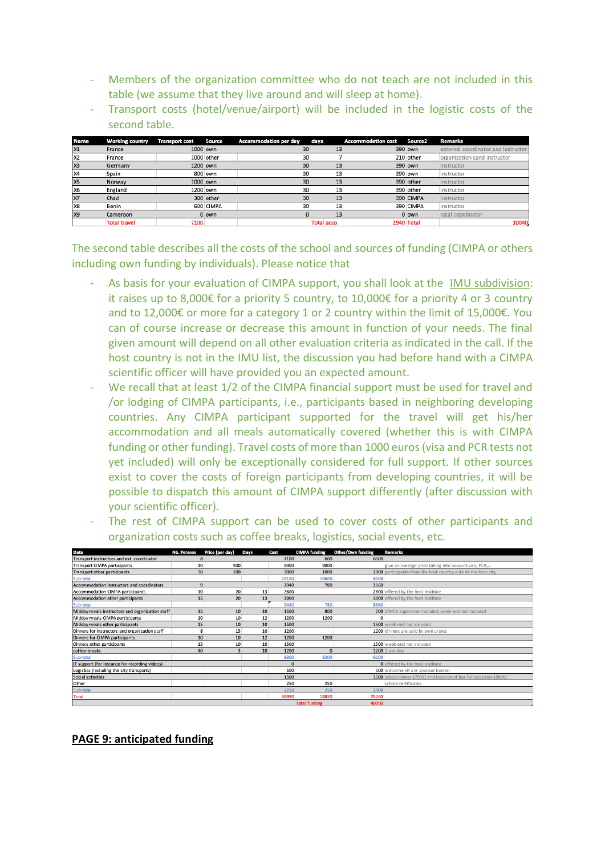- Members of the organization committee who do not teach are not included in this table (we assume that they live around and will sleep at home).
- Transport costs (hotel/venue/airport) will be included in the logistic costs of the second table.

| <b>Name</b>    | <b>Working country</b> | <b>Transport cost</b> | <b>Source</b> | <b>Accommodation per day</b> | days        |    | <b>Accommodation cost</b> | Source <sub>2</sub> | <b>Remarks</b>                      |
|----------------|------------------------|-----------------------|---------------|------------------------------|-------------|----|---------------------------|---------------------|-------------------------------------|
| X1             | France                 |                       | 1000 own      |                              | 30          | 13 |                           | 390 own             | external coordinator and instructor |
| X <sub>2</sub> | France                 |                       | 1000 other    |                              | 30          |    |                           | 210 other           | organization cand instructor        |
| X <sub>3</sub> | Germany                |                       | 1200 own      |                              | 30          | 13 |                           | 390 own             | instructor                          |
| X4             | Spain                  |                       | 800 own       |                              | 30          | 13 |                           | 390 own             | instructor                          |
| X5             | Norway                 |                       | 1000 own      |                              | 30          | 13 |                           | 390 other           | instructor                          |
| <b>X6</b>      | England                |                       | 1200 own      |                              | 30          |    |                           | 390 other           | instructor                          |
| <b>X7</b>      | Chad                   |                       | 300 other     |                              | 30          | 13 |                           | 390 CIMPA           | instructor                          |
| X8             | Benin                  |                       | 600 CIMPA     |                              | 30          | 13 |                           | 390 CIMPA           | instructor                          |
| X9             | Cameroon               |                       | $0$ own       |                              |             | 13 |                           | $0$ own             | local coordinator                   |
|                | <b>Total travel</b>    | 7100                  |               |                              | Total acco. |    |                           | 2940 Total          | 10040.                              |

The second table describes all the costs of the school and sources of funding (CIMPA or others including own funding by individuals). Please notice that

- As basis for your evaluation of CIMPA support, you shall look at the [IMU subdivision:](https://www.mathunion.org/cdc/about-cdc/definition-developing-countries) it raises up to 8,000€ for a priority 5 country, to 10,000€ for a priority 4 or 3 country and to 12,000€ or more for a category 1 or 2 country within the limit of 15,000€. You can of course increase or decrease this amount in function of your needs. The final given amount will depend on all other evaluation criteria as indicated in the call. If the host country is not in the IMU list, the discussion you had before hand with a CIMPA scientific officer will have provided you an expected amount.
- We recall that at least 1/2 of the CIMPA financial support must be used for travel and /or lodging of CIMPA participants, i.e., participants based in neighboring developing countries. Any CIMPA participant supported for the travel will get his/her accommodation and all meals automatically covered (whether this is with CIMPA funding or other funding). Travel costs of more than 1000 euros (visa and PCR tests not yet included) will only be exceptionally considered for full support. If other sources exist to cover the costs of foreign participants from developing countries, it will be possible to dispatch this amount of CIMPA support differently (after discussion with your scientific officer).

|                                                                          |  |  |  |  | - The rest of CIMPA support can be used to cover costs of other participants and |  |
|--------------------------------------------------------------------------|--|--|--|--|----------------------------------------------------------------------------------|--|
| organization costs such as coffee breaks, logistics, social events, etc. |  |  |  |  |                                                                                  |  |

| Data                                            | <b>Nb. Persons</b> | Price (per day) | Days | Cost     | <b>CIMPA funding</b> | Other/Own funding | Remarks                                                            |
|-------------------------------------------------|--------------------|-----------------|------|----------|----------------------|-------------------|--------------------------------------------------------------------|
| Transport instructors and ext. coordinator      | o                  |                 |      | 7100     | 600                  | 6500              |                                                                    |
| <b>Transport CIMPA participants</b>             | 10                 | 900             |      | 9000     | 9000                 |                   | give an average price taking into account visa, PCR,               |
| <b>Transport other participants</b>             | 30                 | 100             |      | 3000     | 1000                 |                   | 2000 participants from the host country outside the host city      |
| Sub-total                                       |                    |                 |      | 19100    | 10600                | 8500              |                                                                    |
| Accommodation instructors and coordinators      | 9                  |                 |      | 2940     | 780                  | 2160              |                                                                    |
| <b>Accommodation CIMPA participants</b>         | 10                 | 20              | 13   | 2600     |                      |                   | 2600 offered by the host institute                                 |
| Accommodation other participants                | 15                 | 20              | 13   | 3900     |                      |                   | 3900 offered by the host institute                                 |
| Sub-total                                       |                    |                 |      | 9440     | 780                  | 8660              |                                                                    |
| Midday meals instructors and organization staff | 15                 | 10              | 10   | 1500     | 800                  |                   | 700 CIMPA supervisor included; week-end not included               |
| Midday meals CIMPA participants                 | 10                 | 10              | 12   | 1200     | 1200                 | $\mathbf{0}$      |                                                                    |
| Midday meals other participants                 | 15                 | 10              | 10   | 1500     |                      |                   | 1500 week-end not included                                         |
| Dinners for instructors and organization staff  | 8                  | 15              | 10   | 1200     |                      |                   | 1200 dinners are paid by own grants                                |
| Dinners for CIMPA participants                  | 10                 | 10              | 12   | 1200     | 1200                 |                   |                                                                    |
| Dinners other participants                      | 15                 | 10              | 10   | 1500     |                      |                   | 1500 week-end not included                                         |
| coffee-breaks                                   | 40                 |                 | 10   | 1200     | $\Omega$             |                   | 1200 2 per day                                                     |
| Sub-total                                       |                    |                 |      | 9300     | 3200                 | 6100              |                                                                    |
| IT support (for instance for recording videos)  |                    |                 |      | $\Omega$ |                      |                   | O offered by the host institute                                    |
| Logistics (including the city transports)       |                    |                 |      | 500      |                      |                   | 500 welcome kit ans sponsor banner                                 |
| Social activities                               |                    |                 |      | 1500     |                      |                   | 1500 school dinner (700€) and location of bus for excursion (800€) |
| Other                                           |                    |                 |      | 250      | 250                  |                   | school certificates                                                |
| Sub-total                                       |                    |                 |      |          | 250<br>2250          | 2000              |                                                                    |
| <b>Total</b>                                    |                    |                 |      | 40090    | 14830                | 25260             |                                                                    |
|                                                 |                    |                 |      |          | <b>Total funding</b> | 40090             |                                                                    |

#### **PAGE 9: anticipated funding**